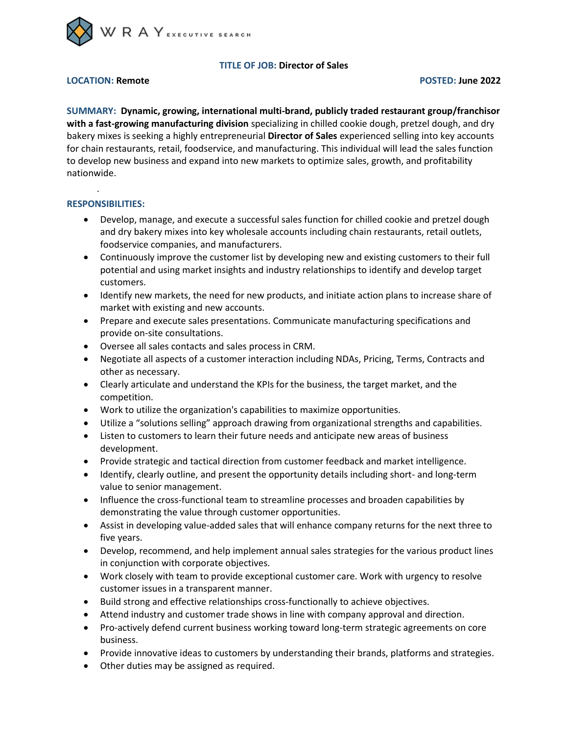

# **TITLE OF JOB: Director of Sales**

## **LOCATION: Remote POSTED: June 2022**

**SUMMARY: Dynamic, growing, international multi-brand, publicly traded restaurant group/franchisor with a fast-growing manufacturing division** specializing in chilled cookie dough, pretzel dough, and dry bakery mixes is seeking a highly entrepreneurial **Director of Sales** experienced selling into key accounts for chain restaurants, retail, foodservice, and manufacturing. This individual will lead the sales function to develop new business and expand into new markets to optimize sales, growth, and profitability nationwide.

## **RESPONSIBILITIES:**

.

- Develop, manage, and execute a successful sales function for chilled cookie and pretzel dough and dry bakery mixes into key wholesale accounts including chain restaurants, retail outlets, foodservice companies, and manufacturers.
- Continuously improve the customer list by developing new and existing customers to their full potential and using market insights and industry relationships to identify and develop target customers.
- Identify new markets, the need for new products, and initiate action plans to increase share of market with existing and new accounts.
- Prepare and execute sales presentations. Communicate manufacturing specifications and provide on-site consultations.
- Oversee all sales contacts and sales process in CRM.
- Negotiate all aspects of a customer interaction including NDAs, Pricing, Terms, Contracts and other as necessary.
- Clearly articulate and understand the KPIs for the business, the target market, and the competition.
- Work to utilize the organization's capabilities to maximize opportunities.
- Utilize a "solutions selling" approach drawing from organizational strengths and capabilities.
- Listen to customers to learn their future needs and anticipate new areas of business development.
- Provide strategic and tactical direction from customer feedback and market intelligence.
- Identify, clearly outline, and present the opportunity details including short- and long-term value to senior management.
- Influence the cross-functional team to streamline processes and broaden capabilities by demonstrating the value through customer opportunities.
- Assist in developing value-added sales that will enhance company returns for the next three to five years.
- Develop, recommend, and help implement annual sales strategies for the various product lines in conjunction with corporate objectives.
- Work closely with team to provide exceptional customer care. Work with urgency to resolve customer issues in a transparent manner.
- Build strong and effective relationships cross-functionally to achieve objectives.
- Attend industry and customer trade shows in line with company approval and direction.
- Pro-actively defend current business working toward long-term strategic agreements on core business.
- Provide innovative ideas to customers by understanding their brands, platforms and strategies.
- Other duties may be assigned as required.